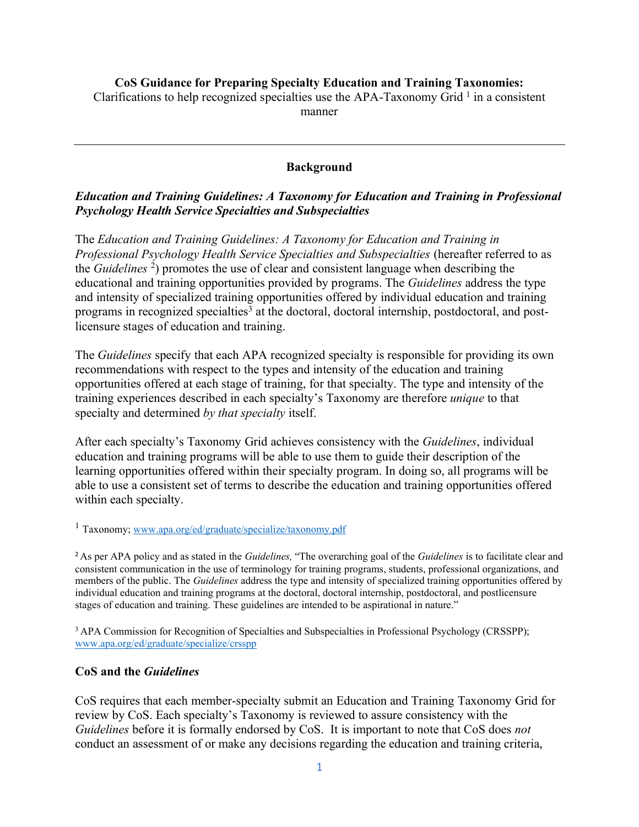#### **CoS Guidance for Preparing Specialty Education and Training Taxonomies:**

Clarifications to help recognized specialties use the APA-Taxonomy Grid  $<sup>1</sup>$  in a consistent</sup>

manner

## **Background**

#### *Education and Training Guidelines: A Taxonomy for Education and Training in Professional Psychology Health Service Specialties and Subspecialties*

The *Education and Training Guidelines: A Taxonomy for Education and Training in Professional Psychology Health Service Specialties and Subspecialties* (hereafter referred to as the *Guidelines* 2) promotes the use of clear and consistent language when describing the educational and training opportunities provided by programs. The *Guidelines* address the type and intensity of specialized training opportunities offered by individual education and training programs in recognized specialties<sup>3</sup> at the doctoral, doctoral internship, postdoctoral, and postlicensure stages of education and training.

The *Guidelines* specify that each APA recognized specialty is responsible for providing its own recommendations with respect to the types and intensity of the education and training opportunities offered at each stage of training, for that specialty. The type and intensity of the training experiences described in each specialty's Taxonomy are therefore *unique* to that specialty and determined *by that specialty* itself.

After each specialty's Taxonomy Grid achieves consistency with the *Guidelines*, individual education and training programs will be able to use them to guide their description of the learning opportunities offered within their specialty program. In doing so, all programs will be able to use a consistent set of terms to describe the education and training opportunities offered within each specialty.

<sup>1</sup> Taxonomy; www.apa.org/ed/graduate/specialize/taxonomy.pdf

<sup>2</sup>As per APA policy and as stated in the *Guidelines,* "The overarching goal of the *Guidelines* is to facilitate clear and consistent communication in the use of terminology for training programs, students, professional organizations, and members of the public. The *Guidelines* address the type and intensity of specialized training opportunities offered by individual education and training programs at the doctoral, doctoral internship, postdoctoral, and postlicensure stages of education and training. These guidelines are intended to be aspirational in nature."

<sup>3</sup> APA Commission for Recognition of Specialties and Subspecialties in Professional Psychology (CRSSPP); www.apa.org/ed/graduate/specialize/crsspp

## **CoS and the** *Guidelines*

CoS requires that each member-specialty submit an Education and Training Taxonomy Grid for review by CoS. Each specialty's Taxonomy is reviewed to assure consistency with the *Guidelines* before it is formally endorsed by CoS. It is important to note that CoS does *not* conduct an assessment of or make any decisions regarding the education and training criteria,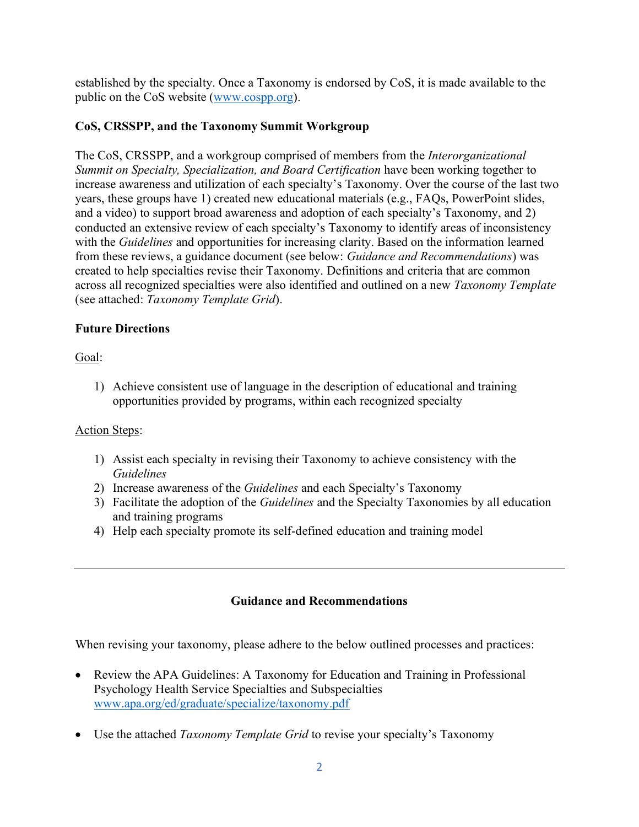established by the specialty. Once a Taxonomy is endorsed by CoS, it is made available to the public on the CoS website (www.cospp.org).

## **CoS, CRSSPP, and the Taxonomy Summit Workgroup**

The CoS, CRSSPP, and a workgroup comprised of members from the *Interorganizational Summit on Specialty, Specialization, and Board Certification* have been working together to increase awareness and utilization of each specialty's Taxonomy. Over the course of the last two years, these groups have 1) created new educational materials (e.g., FAQs, PowerPoint slides, and a video) to support broad awareness and adoption of each specialty's Taxonomy, and 2) conducted an extensive review of each specialty's Taxonomy to identify areas of inconsistency with the *Guidelines* and opportunities for increasing clarity. Based on the information learned from these reviews, a guidance document (see below: *Guidance and Recommendations*) was created to help specialties revise their Taxonomy. Definitions and criteria that are common across all recognized specialties were also identified and outlined on a new *Taxonomy Template* (see attached: *Taxonomy Template Grid*).

## **Future Directions**

Goal:

1) Achieve consistent use of language in the description of educational and training opportunities provided by programs, within each recognized specialty

# Action Steps:

- 1) Assist each specialty in revising their Taxonomy to achieve consistency with the *Guidelines*
- 2) Increase awareness of the *Guidelines* and each Specialty's Taxonomy
- 3) Facilitate the adoption of the *Guidelines* and the Specialty Taxonomies by all education and training programs
- 4) Help each specialty promote its self-defined education and training model

# **Guidance and Recommendations**

When revising your taxonomy, please adhere to the below outlined processes and practices:

- Review the APA Guidelines: A Taxonomy for Education and Training in Professional Psychology Health Service Specialties and Subspecialties www.apa.org/ed/graduate/specialize/taxonomy.pdf
- Use the attached *Taxonomy Template Grid* to revise your specialty's Taxonomy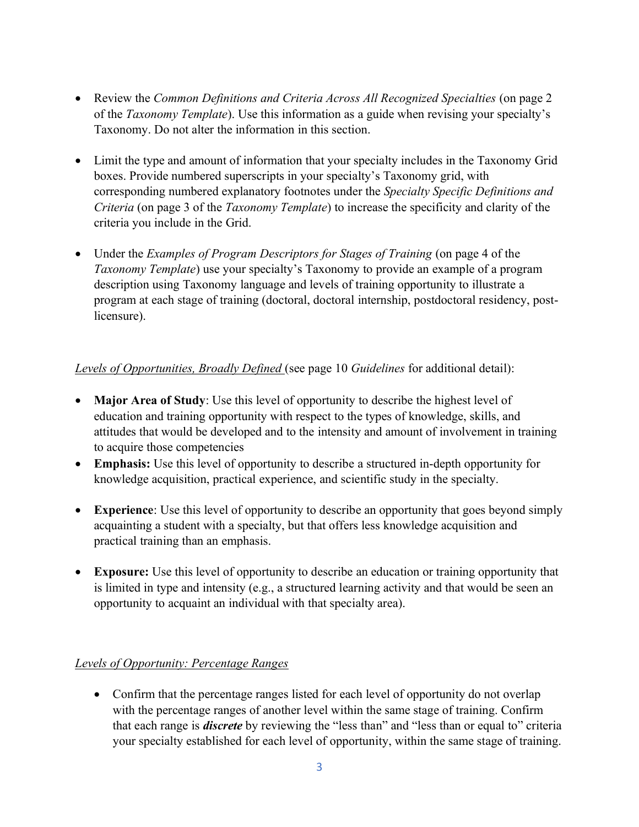- Review the *Common Definitions and Criteria Across All Recognized Specialties* (on page 2 of the *Taxonomy Template*). Use this information as a guide when revising your specialty's Taxonomy. Do not alter the information in this section.
- Limit the type and amount of information that your specialty includes in the Taxonomy Grid boxes. Provide numbered superscripts in your specialty's Taxonomy grid, with corresponding numbered explanatory footnotes under the *Specialty Specific Definitions and Criteria* (on page 3 of the *Taxonomy Template*) to increase the specificity and clarity of the criteria you include in the Grid.
- Under the *Examples of Program Descriptors for Stages of Training* (on page 4 of the *Taxonomy Template*) use your specialty's Taxonomy to provide an example of a program description using Taxonomy language and levels of training opportunity to illustrate a program at each stage of training (doctoral, doctoral internship, postdoctoral residency, postlicensure).

## *Levels of Opportunities, Broadly Defined* (see page 10 *Guidelines* for additional detail):

- **Major Area of Study**: Use this level of opportunity to describe the highest level of education and training opportunity with respect to the types of knowledge, skills, and attitudes that would be developed and to the intensity and amount of involvement in training to acquire those competencies
- **Emphasis:** Use this level of opportunity to describe a structured in-depth opportunity for knowledge acquisition, practical experience, and scientific study in the specialty.
- **Experience**: Use this level of opportunity to describe an opportunity that goes beyond simply acquainting a student with a specialty, but that offers less knowledge acquisition and practical training than an emphasis.
- **Exposure:** Use this level of opportunity to describe an education or training opportunity that is limited in type and intensity (e.g., a structured learning activity and that would be seen an opportunity to acquaint an individual with that specialty area).

# *Levels of Opportunity: Percentage Ranges*

• Confirm that the percentage ranges listed for each level of opportunity do not overlap with the percentage ranges of another level within the same stage of training. Confirm that each range is *discrete* by reviewing the "less than" and "less than or equal to" criteria your specialty established for each level of opportunity, within the same stage of training.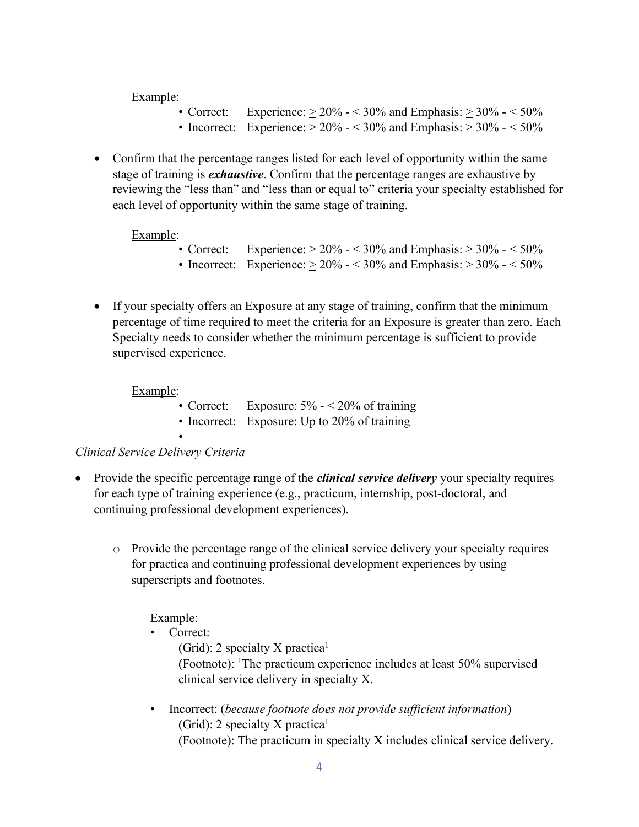Example:

- Correct: Experience:  $> 20\% 50\%$  and Emphasis:  $> 30\% 50\%$
- Incorrect: Experience:  $> 20\% 50\%$  and Emphasis:  $> 30\% 50\%$
- Confirm that the percentage ranges listed for each level of opportunity within the same stage of training is *exhaustive*. Confirm that the percentage ranges are exhaustive by reviewing the "less than" and "less than or equal to" criteria your specialty established for each level of opportunity within the same stage of training.

Example:

- Correct: Experience:  $> 20\% 50\%$  and Emphasis:  $> 30\% 50\%$
- Incorrect: Experience:  $> 20\% 50\%$  and Emphasis:  $> 30\% 50\%$
- If your specialty offers an Exposure at any stage of training, confirm that the minimum percentage of time required to meet the criteria for an Exposure is greater than zero. Each Specialty needs to consider whether the minimum percentage is sufficient to provide supervised experience.

#### Example:

- Correct: Exposure:  $5\% 20\%$  of training
- Incorrect: Exposure: Up to 20% of training

## *Clinical Service Delivery Criteria*

•

- Provide the specific percentage range of the *clinical service delivery* your specialty requires for each type of training experience (e.g., practicum, internship, post-doctoral, and continuing professional development experiences).
	- o Provide the percentage range of the clinical service delivery your specialty requires for practica and continuing professional development experiences by using superscripts and footnotes.

Example:

• Correct:

(Grid): 2 specialty X practica<sup>1</sup> (Footnote): 1The practicum experience includes at least 50% supervised clinical service delivery in specialty X.

• Incorrect: (*because footnote does not provide sufficient information*) (Grid): 2 specialty X practica<sup>1</sup> (Footnote): The practicum in specialty X includes clinical service delivery.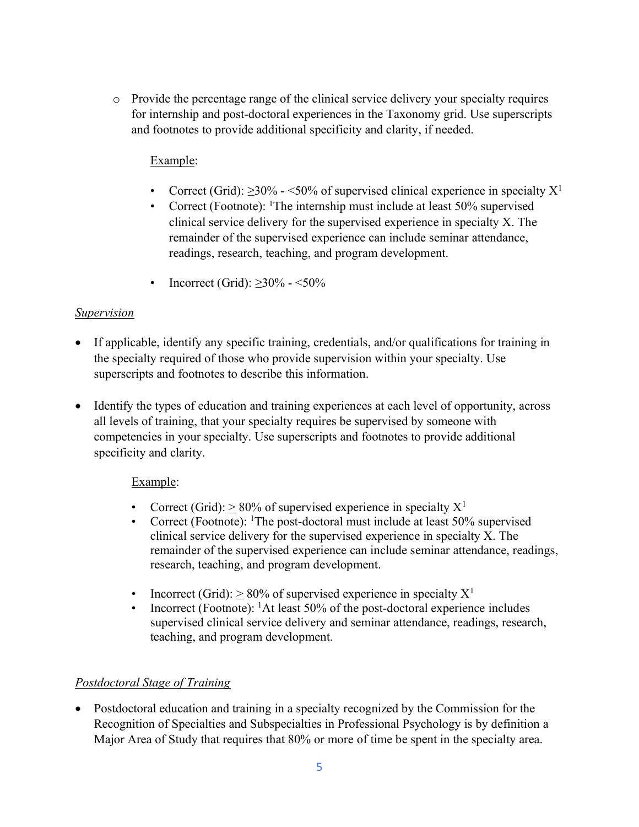o Provide the percentage range of the clinical service delivery your specialty requires for internship and post-doctoral experiences in the Taxonomy grid. Use superscripts and footnotes to provide additional specificity and clarity, if needed.

## Example:

- Correct (Grid):  $\geq 30\%$  <50% of supervised clinical experience in specialty  $X^1$
- Correct (Footnote): <sup>1</sup>The internship must include at least  $50\%$  supervised clinical service delivery for the supervised experience in specialty X. The remainder of the supervised experience can include seminar attendance, readings, research, teaching, and program development.
- Incorrect (Grid):  $\geq 30\% 50\%$

## *Supervision*

- If applicable, identify any specific training, credentials, and/or qualifications for training in the specialty required of those who provide supervision within your specialty. Use superscripts and footnotes to describe this information.
- Identify the types of education and training experiences at each level of opportunity, across all levels of training, that your specialty requires be supervised by someone with competencies in your specialty. Use superscripts and footnotes to provide additional specificity and clarity.

## Example:

- Correct (Grid):  $> 80\%$  of supervised experience in specialty  $X^1$
- Correct (Footnote): <sup>1</sup>The post-doctoral must include at least 50% supervised clinical service delivery for the supervised experience in specialty X. The remainder of the supervised experience can include seminar attendance, readings, research, teaching, and program development.
- Incorrect (Grid):  $> 80\%$  of supervised experience in specialty  $X^1$
- Incorrect (Footnote): 1At least 50% of the post-doctoral experience includes supervised clinical service delivery and seminar attendance, readings, research, teaching, and program development.

# *Postdoctoral Stage of Training*

• Postdoctoral education and training in a specialty recognized by the Commission for the Recognition of Specialties and Subspecialties in Professional Psychology is by definition a Major Area of Study that requires that 80% or more of time be spent in the specialty area.